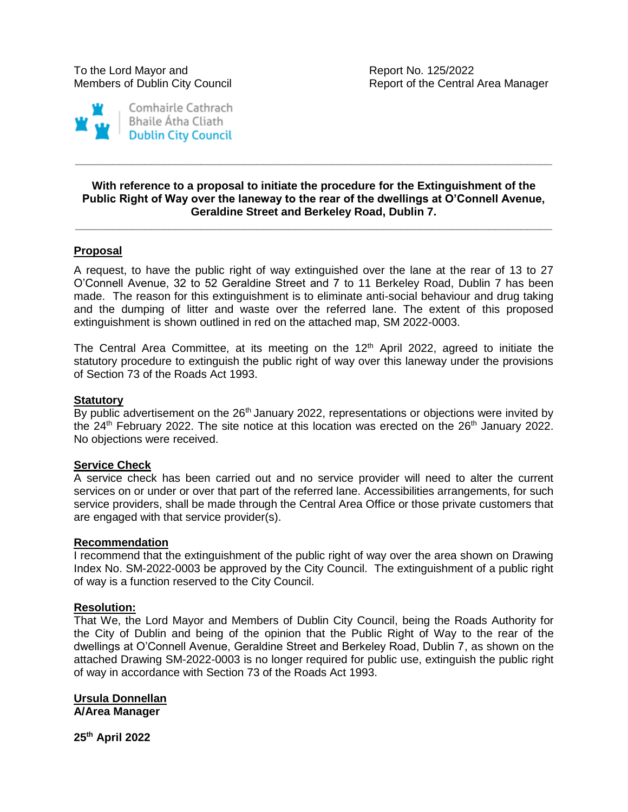

## **With reference to a proposal to initiate the procedure for the Extinguishment of the Public Right of Way over the laneway to the rear of the dwellings at O'Connell Avenue, Geraldine Street and Berkeley Road, Dublin 7.**

**\_\_\_\_\_\_\_\_\_\_\_\_\_\_\_\_\_\_\_\_\_\_\_\_\_\_\_\_\_\_\_\_\_\_\_\_\_\_\_\_\_\_\_\_\_\_\_\_\_\_\_\_\_\_\_\_\_\_\_\_\_\_\_\_\_\_\_\_\_\_\_\_\_\_\_\_**

**\_\_\_\_\_\_\_\_\_\_\_\_\_\_\_\_\_\_\_\_\_\_\_\_\_\_\_\_\_\_\_\_\_\_\_\_\_\_\_\_\_\_\_\_\_\_\_\_\_\_\_\_\_\_\_\_\_\_\_\_\_\_\_\_\_\_\_\_\_\_\_\_\_\_\_\_**

# **Proposal**

A request, to have the public right of way extinguished over the lane at the rear of 13 to 27 O'Connell Avenue, 32 to 52 Geraldine Street and 7 to 11 Berkeley Road, Dublin 7 has been made. The reason for this extinguishment is to eliminate anti-social behaviour and drug taking and the dumping of litter and waste over the referred lane. The extent of this proposed extinguishment is shown outlined in red on the attached map, SM 2022-0003.

The Central Area Committee, at its meeting on the  $12<sup>th</sup>$  April 2022, agreed to initiate the statutory procedure to extinguish the public right of way over this laneway under the provisions of Section 73 of the Roads Act 1993.

## **Statutory**

By public advertisement on the  $26<sup>th</sup>$  January 2022, representations or objections were invited by the  $24<sup>th</sup>$  February 2022. The site notice at this location was erected on the  $26<sup>th</sup>$  January 2022. No objections were received.

## **Service Check**

A service check has been carried out and no service provider will need to alter the current services on or under or over that part of the referred lane. Accessibilities arrangements, for such service providers, shall be made through the Central Area Office or those private customers that are engaged with that service provider(s).

#### **Recommendation**

I recommend that the extinguishment of the public right of way over the area shown on Drawing Index No. SM-2022-0003 be approved by the City Council. The extinguishment of a public right of way is a function reserved to the City Council.

#### **Resolution:**

That We, the Lord Mayor and Members of Dublin City Council, being the Roads Authority for the City of Dublin and being of the opinion that the Public Right of Way to the rear of the dwellings at O'Connell Avenue, Geraldine Street and Berkeley Road, Dublin 7, as shown on the attached Drawing SM-2022-0003 is no longer required for public use, extinguish the public right of way in accordance with Section 73 of the Roads Act 1993.

**Ursula Donnellan A/Area Manager**

**25th April 2022**